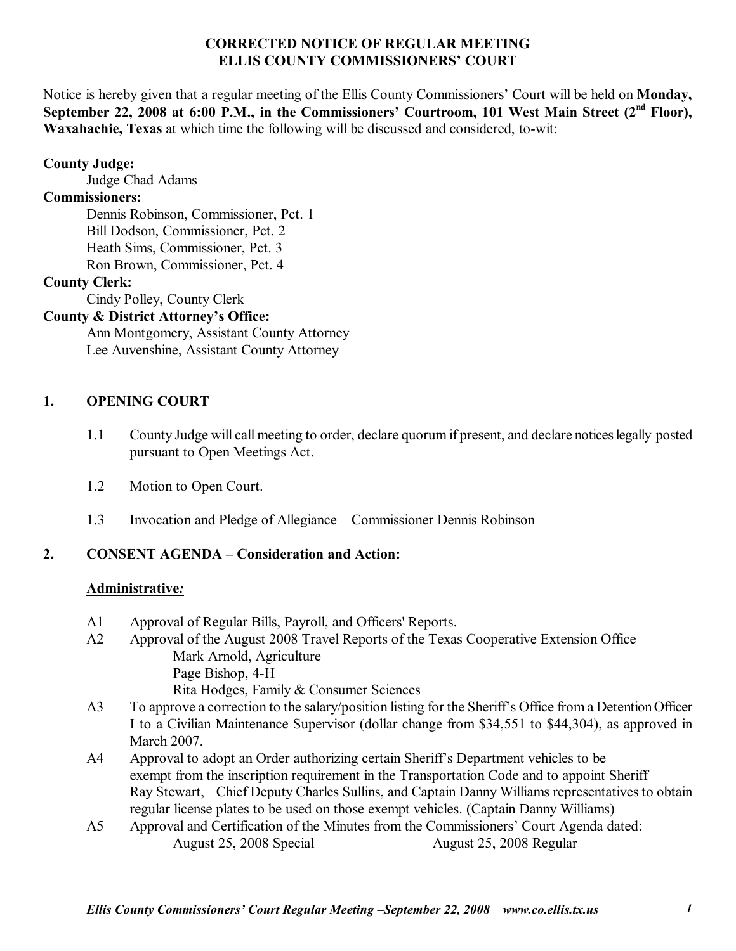### **CORRECTED NOTICE OF REGULAR MEETING ELLIS COUNTY COMMISSIONERS' COURT**

Notice is hereby given that a regular meeting of the Ellis County Commissioners' Court will be held on **Monday**, September 22, 2008 at 6:00 P.M., in the Commissioners' Courtroom, 101 West Main Street (2<sup>nd</sup> Floor), **Waxahachie, Texas** at which time the following will be discussed and considered, to-wit:

### **County Judge:**

Judge Chad Adams

### **Commissioners:**

 Dennis Robinson, Commissioner, Pct. 1 Bill Dodson, Commissioner, Pct. 2 Heath Sims, Commissioner, Pct. 3 Ron Brown, Commissioner, Pct. 4

### **County Clerk:**

Cindy Polley, County Clerk

### **County & District Attorney's Office:**

 Ann Montgomery, Assistant County Attorney Lee Auvenshine, Assistant County Attorney

### **1. OPENING COURT**

- 1.1 County Judge will call meeting to order, declare quorum if present, and declare notices legally posted pursuant to Open Meetings Act.
- 1.2 Motion to Open Court.
- 1.3 Invocation and Pledge of Allegiance Commissioner Dennis Robinson

## **2. CONSENT AGENDA – Consideration and Action:**

#### **Administrative***:*

- A1 Approval of Regular Bills, Payroll, and Officers' Reports.
- A2 Approval of the August 2008 Travel Reports of the Texas Cooperative Extension Office Mark Arnold, Agriculture Page Bishop, 4-H Rita Hodges, Family & Consumer Sciences
- A3 To approve a correction to the salary/position listing for the Sheriff's Office from a Detention Officer I to a Civilian Maintenance Supervisor (dollar change from \$34,551 to \$44,304), as approved in March 2007.
- A4 Approval to adopt an Order authorizing certain Sheriff's Department vehicles to be exempt from the inscription requirement in the Transportation Code and to appoint Sheriff Ray Stewart, Chief Deputy Charles Sullins, and Captain Danny Williams representatives to obtain regular license plates to be used on those exempt vehicles. (Captain Danny Williams)
- A5 Approval and Certification of the Minutes from the Commissioners' Court Agenda dated: August 25, 2008 Special August 25, 2008 Regular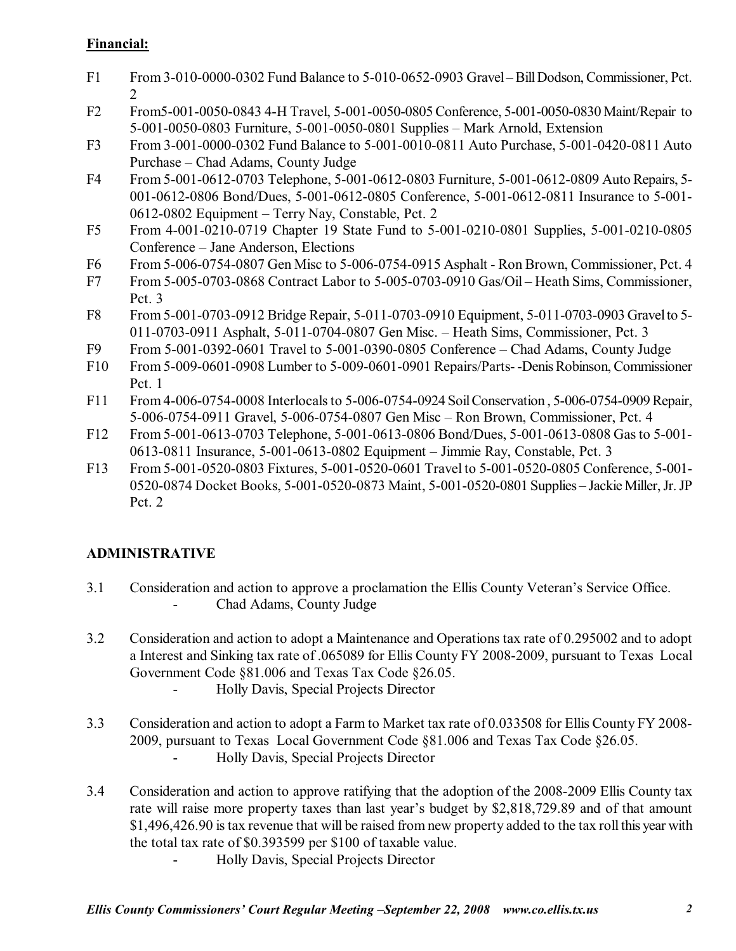## **Financial:**

- F1 From 3-010-0000-0302 Fund Balance to 5-010-0652-0903 Gravel Bill Dodson, Commissioner, Pct. 2
- F2 From5-001-0050-0843 4-H Travel, 5-001-0050-0805 Conference, 5-001-0050-0830 Maint/Repair to 5-001-0050-0803 Furniture, 5-001-0050-0801 Supplies – Mark Arnold, Extension
- F3 From 3-001-0000-0302 Fund Balance to 5-001-0010-0811 Auto Purchase, 5-001-0420-0811 Auto Purchase – Chad Adams, County Judge
- F4 From 5-001-0612-0703 Telephone, 5-001-0612-0803 Furniture, 5-001-0612-0809 Auto Repairs, 5- 001-0612-0806 Bond/Dues, 5-001-0612-0805 Conference, 5-001-0612-0811 Insurance to 5-001-  $0612-0802$  Equipment – Terry Nay, Constable, Pct. 2
- F5 From 4-001-0210-0719 Chapter 19 State Fund to 5-001-0210-0801 Supplies, 5-001-0210-0805 Conference – Jane Anderson, Elections
- F6 From 5-006-0754-0807 Gen Misc to 5-006-0754-0915 Asphalt Ron Brown, Commissioner, Pct. 4
- F7 From 5-005-0703-0868 Contract Labor to 5-005-0703-0910 Gas/Oil Heath Sims, Commissioner, Pct. 3
- F8 From 5-001-0703-0912 Bridge Repair, 5-011-0703-0910 Equipment, 5-011-0703-0903 Gravel to 5- 011-0703-0911 Asphalt, 5-011-0704-0807 Gen Misc. – Heath Sims, Commissioner, Pct. 3
- F9 From 5-001-0392-0601 Travel to  $5-001-0390-0805$  Conference Chad Adams, County Judge
- F10 From 5-009-0601-0908 Lumber to 5-009-0601-0901 Repairs/Parts- -Denis Robinson, Commissioner Pct. 1
- F11 From 4-006-0754-0008 Interlocals to 5-006-0754-0924 Soil Conservation , 5-006-0754-0909 Repair, 5-006-0754-0911 Gravel, 5-006-0754-0807 Gen Misc – Ron Brown, Commissioner, Pct. 4
- F12 From 5-001-0613-0703 Telephone, 5-001-0613-0806 Bond/Dues, 5-001-0613-0808 Gas to 5-001- 0613-0811 Insurance, 5-001-0613-0802 Equipment – Jimmie Ray, Constable, Pct. 3
- F13 From 5-001-0520-0803 Fixtures, 5-001-0520-0601 Travel to 5-001-0520-0805 Conference, 5-001- 0520-0874 Docket Books, 5-001-0520-0873 Maint, 5-001-0520-0801 Supplies – Jackie Miller, Jr. JP Pct. 2

## **ADMINISTRATIVE**

- 3.1 Consideration and action to approve a proclamation the Ellis County Veteran's Service Office. - Chad Adams, County Judge
- 3.2 Consideration and action to adopt a Maintenance and Operations tax rate of 0.295002 and to adopt a Interest and Sinking tax rate of .065089 for Ellis County FY 2008-2009, pursuant to Texas Local Government Code §81.006 and Texas Tax Code §26.05.
	- Holly Davis, Special Projects Director
- 3.3 Consideration and action to adopt a Farm to Market tax rate of 0.033508 for Ellis County FY 2008- 2009, pursuant to Texas Local Government Code ß81.006 and Texas Tax Code ß26.05. - Holly Davis, Special Projects Director
- 3.4 Consideration and action to approve ratifying that the adoption of the 2008-2009 Ellis County tax rate will raise more property taxes than last year's budget by \$2,818,729.89 and of that amount \$1,496,426.90 is tax revenue that will be raised from new property added to the tax roll this year with the total tax rate of \$0.393599 per \$100 of taxable value.

- Holly Davis, Special Projects Director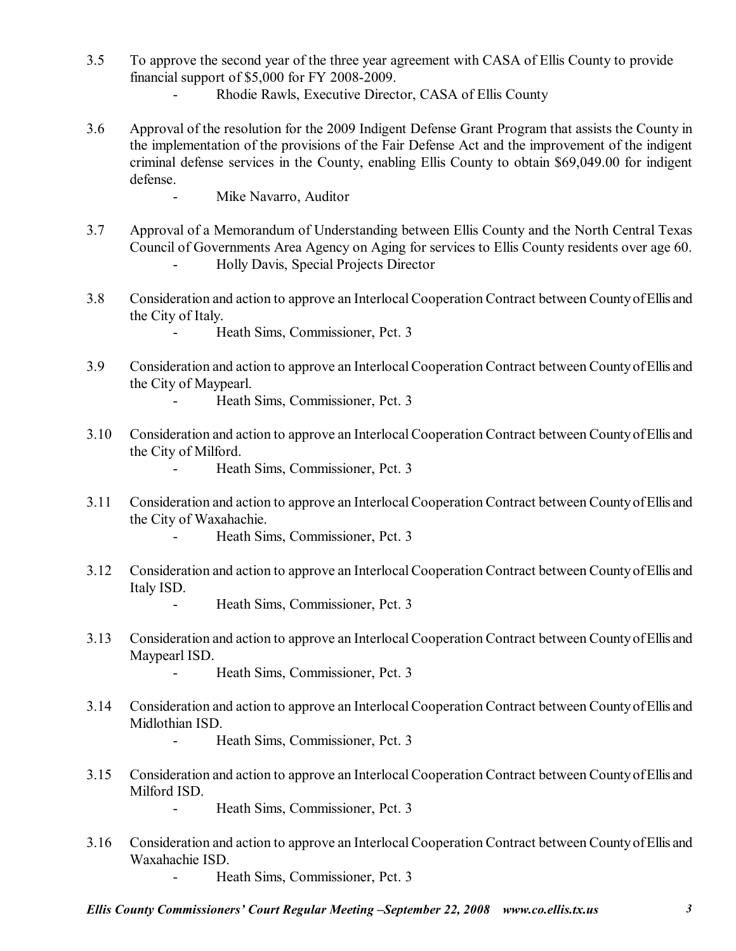- 3.5 To approve the second year of the three year agreement with CASA of Ellis County to provide financial support of \$5,000 for FY 2008-2009.
	- Rhodie Rawls, Executive Director, CASA of Ellis County
- 3.6 Approval of the resolution for the 2009 Indigent Defense Grant Program that assists the County in the implementation of the provisions of the Fair Defense Act and the improvement of the indigent criminal defense services in the County, enabling Ellis County to obtain \$69,049.00 for indigent defense.
	- Mike Navarro, Auditor
- 3.7 Approval of a Memorandum of Understanding between Ellis County and the North Central Texas Council of Governments Area Agency on Aging for services to Ellis County residents over age 60. - Holly Davis, Special Projects Director
- 3.8 Consideration and action to approve an Interlocal Cooperation Contract between County of Ellis and the City of Italy.
	- Heath Sims, Commissioner, Pct. 3
- 3.9 Consideration and action to approve an Interlocal Cooperation Contract between County of Ellis and the City of Maypearl.
	- Heath Sims, Commissioner, Pct. 3
- 3.10 Consideration and action to approve an Interlocal Cooperation Contract between County of Ellis and the City of Milford.
	- Heath Sims, Commissioner, Pct. 3
- 3.11 Consideration and action to approve an Interlocal Cooperation Contract between County of Ellis and the City of Waxahachie.
	- Heath Sims, Commissioner, Pct. 3
- 3.12 Consideration and action to approve an Interlocal Cooperation Contract between County of Ellis and Italy ISD.
	- Heath Sims, Commissioner, Pct. 3
- 3.13 Consideration and action to approve an Interlocal Cooperation Contract between County of Ellis and Maypearl ISD.
	- Heath Sims, Commissioner, Pct. 3
- 3.14 Consideration and action to approve an Interlocal Cooperation Contract between County of Ellis and Midlothian ISD.

- Heath Sims, Commissioner, Pct. 3

- 3.15 Consideration and action to approve an Interlocal Cooperation Contract between County of Ellis and Milford ISD.
	- Heath Sims, Commissioner, Pct. 3
- 3.16 Consideration and action to approve an Interlocal Cooperation Contract between County of Ellis and Waxahachie ISD.
	- Heath Sims, Commissioner, Pct. 3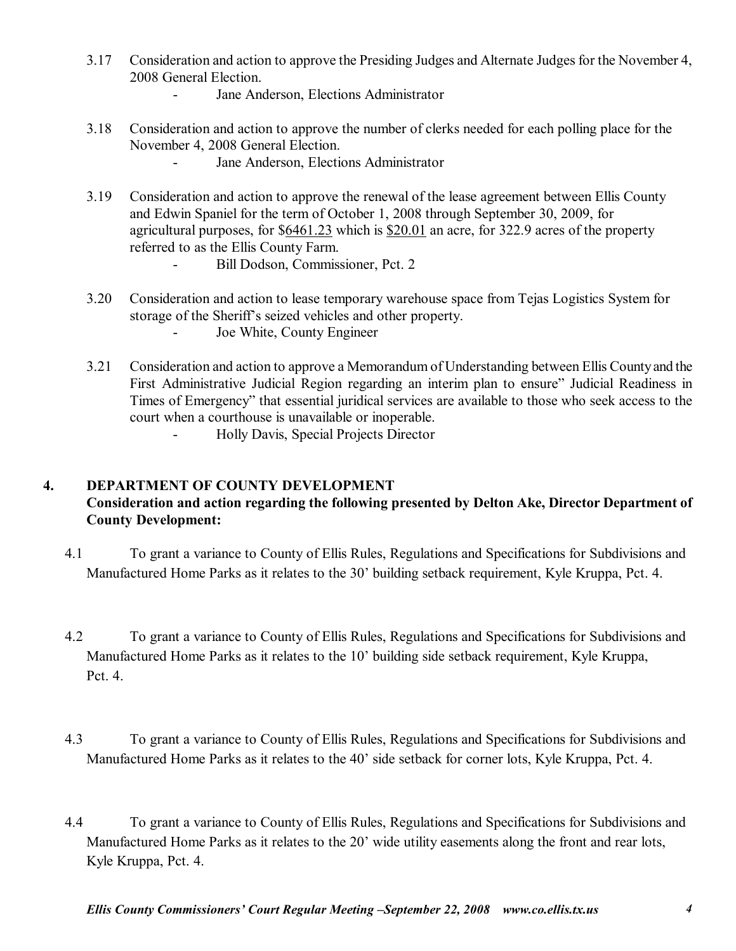- 3.17 Consideration and action to approve the Presiding Judges and Alternate Judges for the November 4, 2008 General Election.
	- Jane Anderson, Elections Administrator
- 3.18 Consideration and action to approve the number of clerks needed for each polling place for the November 4, 2008 General Election.
	- Jane Anderson, Elections Administrator
- 3.19 Consideration and action to approve the renewal of the lease agreement between Ellis County and Edwin Spaniel for the term of October 1, 2008 through September 30, 2009, for agricultural purposes, for \$6461.23 which is \$20.01 an acre, for 322.9 acres of the property referred to as the Ellis County Farm.
	- Bill Dodson, Commissioner, Pct. 2
- 3.20 Consideration and action to lease temporary warehouse space from Tejas Logistics System for storage of the Sheriff's seized vehicles and other property. - Joe White, County Engineer
- 3.21 Consideration and action to approve a Memorandum of Understanding between Ellis County and the First Administrative Judicial Region regarding an interim plan to ensure" Judicial Readiness in Times of Emergency" that essential juridical services are available to those who seek access to the court when a courthouse is unavailable or inoperable.
	- Holly Davis, Special Projects Director

#### **4. DEPARTMENT OF COUNTY DEVELOPMENT**

### **Consideration and action regarding the following presented by Delton Ake, Director Department of County Development:**

- 4.1 To grant a variance to County of Ellis Rules, Regulations and Specifications for Subdivisions and Manufactured Home Parks as it relates to the 30' building setback requirement, Kyle Kruppa, Pct. 4.
- 4.2 To grant a variance to County of Ellis Rules, Regulations and Specifications for Subdivisions and Manufactured Home Parks as it relates to the 10' building side setback requirement, Kyle Kruppa, Pct. 4.
- 4.3 To grant a variance to County of Ellis Rules, Regulations and Specifications for Subdivisions and Manufactured Home Parks as it relates to the 40' side setback for corner lots, Kyle Kruppa, Pct. 4.
- 4.4 To grant a variance to County of Ellis Rules, Regulations and Specifications for Subdivisions and Manufactured Home Parks as it relates to the 20' wide utility easements along the front and rear lots, Kyle Kruppa, Pct. 4.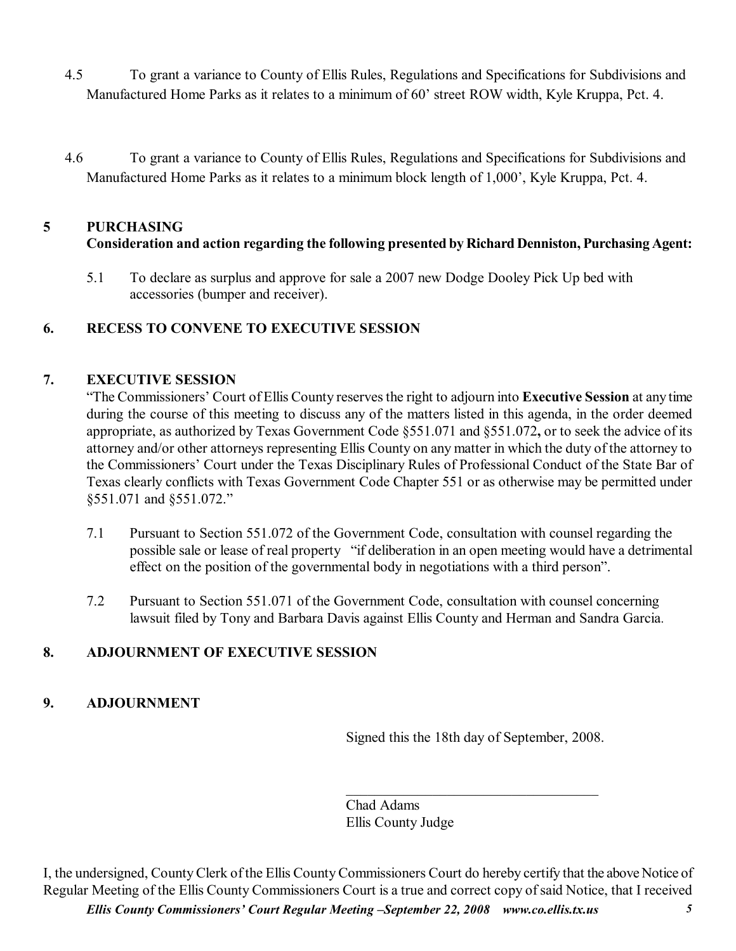- 4.5 To grant a variance to County of Ellis Rules, Regulations and Specifications for Subdivisions and Manufactured Home Parks as it relates to a minimum of 60' street ROW width, Kyle Kruppa, Pct. 4.
- 4.6 To grant a variance to County of Ellis Rules, Regulations and Specifications for Subdivisions and Manufactured Home Parks as it relates to a minimum block length of 1,000', Kyle Kruppa, Pct. 4.

# **5 PURCHASING Consideration and action regarding the following presented by Richard Denniston, Purchasing Agent:**

 5.1 To declare as surplus and approve for sale a 2007 new Dodge Dooley Pick Up bed with accessories (bumper and receiver).

## **6. RECESS TO CONVENE TO EXECUTIVE SESSION**

#### **7. EXECUTIVE SESSION**

ìThe Commissionersí Court of Ellis County reserves the right to adjourn into **Executive Session** at any time during the course of this meeting to discuss any of the matters listed in this agenda, in the order deemed appropriate, as authorized by Texas Government Code ß551.071 and ß551.072**,** or to seek the advice of its attorney and/or other attorneys representing Ellis County on any matter in which the duty of the attorney to the Commissioners' Court under the Texas Disciplinary Rules of Professional Conduct of the State Bar of Texas clearly conflicts with Texas Government Code Chapter 551 or as otherwise may be permitted under §551.071 and §551.072."

- 7.1 Pursuant to Section 551.072 of the Government Code, consultation with counsel regarding the possible sale or lease of real property "if deliberation in an open meeting would have a detrimental effect on the position of the governmental body in negotiations with a third person".
- 7.2 Pursuant to Section 551.071 of the Government Code, consultation with counsel concerning lawsuit filed by Tony and Barbara Davis against Ellis County and Herman and Sandra Garcia.

## **8. ADJOURNMENT OF EXECUTIVE SESSION**

#### **9. ADJOURNMENT**

Signed this the 18th day of September, 2008.

 $\mathcal{L}_\text{max}$ 

Chad Adams Ellis County Judge

*Ellis County Commissioners' Court Regular Meeting -September 22, 2008 www.co.ellis.tx.us* 5 I, the undersigned, County Clerk of the Ellis County Commissioners Court do hereby certify that the above Notice of Regular Meeting of the Ellis County Commissioners Court is a true and correct copy of said Notice, that I received